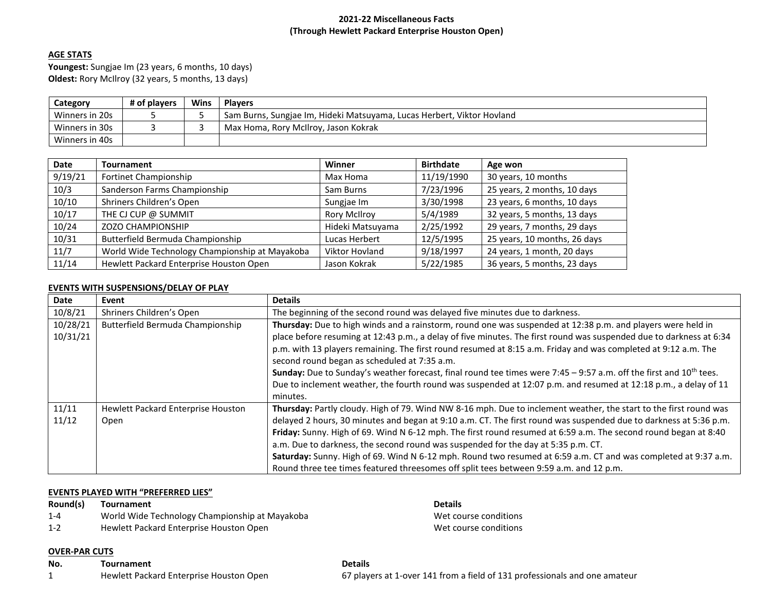## **2021-22 Miscellaneous Facts (Through Hewlett Packard Enterprise Houston Open)**

# **AGE STATS**

**Youngest:** Sungjae Im (23 years, 6 months, 10 days) **Oldest:** Rory McIlroy (32 years, 5 months, 13 days)

| Category       | # of plavers | Wins | <b>Plavers</b>                                                         |
|----------------|--------------|------|------------------------------------------------------------------------|
| Winners in 20s |              |      | Sam Burns, Sungjae Im, Hideki Matsuyama, Lucas Herbert, Viktor Hovland |
| Winners in 30s |              |      | Max Homa, Rory McIlroy, Jason Kokrak                                   |
| Winners in 40s |              |      |                                                                        |

| Date    | <b>Tournament</b>                              | Winner              | <b>Birthdate</b> | Age won                      |
|---------|------------------------------------------------|---------------------|------------------|------------------------------|
| 9/19/21 | Fortinet Championship                          | Max Homa            | 11/19/1990       | 30 years, 10 months          |
| 10/3    | Sanderson Farms Championship                   | Sam Burns           | 7/23/1996        | 25 years, 2 months, 10 days  |
| 10/10   | Shriners Children's Open                       | Sungjae Im          | 3/30/1998        | 23 years, 6 months, 10 days  |
| 10/17   | THE CJ CUP @ SUMMIT                            | <b>Rory McIlroy</b> | 5/4/1989         | 32 years, 5 months, 13 days  |
| 10/24   | <b>ZOZO CHAMPIONSHIP</b>                       | Hideki Matsuyama    | 2/25/1992        | 29 years, 7 months, 29 days  |
| 10/31   | Butterfield Bermuda Championship               | Lucas Herbert       | 12/5/1995        | 25 years, 10 months, 26 days |
| 11/7    | World Wide Technology Championship at Mayakoba | Viktor Hovland      | 9/18/1997        | 24 years, 1 month, 20 days   |
| 11/14   | Hewlett Packard Enterprise Houston Open        | Jason Kokrak        | 5/22/1985        | 36 years, 5 months, 23 days  |

## **EVENTS WITH SUSPENSIONS/DELAY OF PLAY**

| Date                 | Event                                             | <b>Details</b>                                                                                                                                                                                                                                                                                                                                                                                                                                                                                                                                                                                                                                                        |
|----------------------|---------------------------------------------------|-----------------------------------------------------------------------------------------------------------------------------------------------------------------------------------------------------------------------------------------------------------------------------------------------------------------------------------------------------------------------------------------------------------------------------------------------------------------------------------------------------------------------------------------------------------------------------------------------------------------------------------------------------------------------|
| 10/8/21              | Shriners Children's Open                          | The beginning of the second round was delayed five minutes due to darkness.                                                                                                                                                                                                                                                                                                                                                                                                                                                                                                                                                                                           |
| 10/28/21<br>10/31/21 | Butterfield Bermuda Championship                  | Thursday: Due to high winds and a rainstorm, round one was suspended at 12:38 p.m. and players were held in<br>place before resuming at 12:43 p.m., a delay of five minutes. The first round was suspended due to darkness at 6:34<br>p.m. with 13 players remaining. The first round resumed at 8:15 a.m. Friday and was completed at 9:12 a.m. The<br>second round began as scheduled at 7:35 a.m.<br>Sunday: Due to Sunday's weather forecast, final round tee times were 7:45 - 9:57 a.m. off the first and 10 <sup>th</sup> tees.<br>Due to inclement weather, the fourth round was suspended at 12:07 p.m. and resumed at 12:18 p.m., a delay of 11<br>minutes. |
| 11/11<br>11/12       | <b>Hewlett Packard Enterprise Houston</b><br>Open | Thursday: Partly cloudy. High of 79. Wind NW 8-16 mph. Due to inclement weather, the start to the first round was<br>delayed 2 hours, 30 minutes and began at 9:10 a.m. CT. The first round was suspended due to darkness at 5:36 p.m.<br>Friday: Sunny. High of 69. Wind N 6-12 mph. The first round resumed at 6:59 a.m. The second round began at 8:40<br>a.m. Due to darkness, the second round was suspended for the day at 5:35 p.m. CT.<br>Saturday: Sunny. High of 69. Wind N 6-12 mph. Round two resumed at 6:59 a.m. CT and was completed at 9:37 a.m.<br>Round three tee times featured threesomes off split tees between 9:59 a.m. and 12 p.m.            |

## **EVENTS PLAYED WITH "PREFERRED LIES"**

| Round(s) | <b>Tournament</b>                              | <b>Details</b>        |  |
|----------|------------------------------------------------|-----------------------|--|
| $1 - 4$  | World Wide Technology Championship at Mayakoba | Wet course conditions |  |
| 1-2      | Hewlett Packard Enterprise Houston Open        | Wet course conditions |  |
|          |                                                |                       |  |

# **OVER-PAR CUTS**

| No. | Tournament                              | <b>Details</b>                                                             |
|-----|-----------------------------------------|----------------------------------------------------------------------------|
|     | Hewlett Packard Enterprise Houston Open | 67 players at 1-over 141 from a field of 131 professionals and one amateur |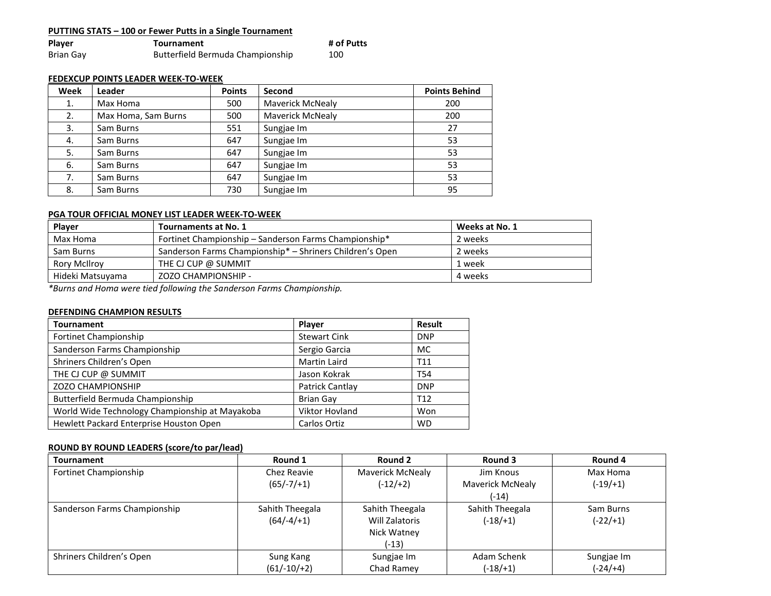| <b>PUTTING STATS – 100 or Fewer Putts in a Single Tournament</b> |                                  |            |  |  |
|------------------------------------------------------------------|----------------------------------|------------|--|--|
| Player                                                           | <b>Tournament</b>                | # of Putts |  |  |
| Brian Gay                                                        | Butterfield Bermuda Championship | 100        |  |  |

## **FEDEXCUP POINTS LEADER WEEK-TO-WEEK**

| Week | Leader              | <b>Points</b> | Second                  | <b>Points Behind</b> |
|------|---------------------|---------------|-------------------------|----------------------|
| 1.   | Max Homa            | 500           | <b>Maverick McNealy</b> | 200                  |
| 2.   | Max Homa, Sam Burns | 500           | <b>Maverick McNealy</b> | 200                  |
| 3.   | Sam Burns           | 551           | Sungjae Im              | 27                   |
| 4.   | Sam Burns           | 647           | Sungjae Im              | 53                   |
| 5.   | Sam Burns           | 647           | Sungjae Im              | 53                   |
| 6.   | Sam Burns           | 647           | Sungjae Im              | 53                   |
| 7.   | Sam Burns           | 647           | Sungjae Im              | 53                   |
| 8.   | Sam Burns           | 730           | Sungjae Im              | 95                   |

## **PGA TOUR OFFICIAL MONEY LIST LEADER WEEK-TO-WEEK**

| Player              | Tournaments at No. 1                                     | Weeks at No. 1 |
|---------------------|----------------------------------------------------------|----------------|
| Max Homa            | Fortinet Championship – Sanderson Farms Championship*    | 2 weeks        |
| Sam Burns           | Sanderson Farms Championship* - Shriners Children's Open | 2 weeks        |
| <b>Rory McIlroy</b> | THE CJ CUP @ SUMMIT                                      | 1 week         |
| Hideki Matsuyama    | ZOZO CHAMPIONSHIP -                                      | 4 weeks        |

*\*Burns and Homa were tied following the Sanderson Farms Championship.*

## **DEFENDING CHAMPION RESULTS**

| <b>Tournament</b>                              | Player                | <b>Result</b>   |
|------------------------------------------------|-----------------------|-----------------|
| Fortinet Championship                          | <b>Stewart Cink</b>   | <b>DNP</b>      |
| Sanderson Farms Championship                   | Sergio Garcia         | MC.             |
| Shriners Children's Open                       | Martin Laird          | T <sub>11</sub> |
| THE CJ CUP @ SUMMIT                            | Jason Kokrak          | T <sub>54</sub> |
| <b>ZOZO CHAMPIONSHIP</b>                       | Patrick Cantlay       | <b>DNP</b>      |
| Butterfield Bermuda Championship               | <b>Brian Gay</b>      | T <sub>12</sub> |
| World Wide Technology Championship at Mayakoba | <b>Viktor Hovland</b> | Won             |
| Hewlett Packard Enterprise Houston Open        | Carlos Ortiz          | <b>WD</b>       |

# **ROUND BY ROUND LEADERS (score/to par/lead)**

| <b>Tournament</b>            | Round 1                         | Round 2                                                     | Round 3                          | Round 4                 |
|------------------------------|---------------------------------|-------------------------------------------------------------|----------------------------------|-------------------------|
| Fortinet Championship        | Chez Reavie                     | Maverick McNealy                                            | Jim Knous                        | Max Homa                |
|                              | $(65/-7/+1)$                    | $(-12/+2)$                                                  | <b>Maverick McNealy</b><br>(-14) | $(-19/+1)$              |
| Sanderson Farms Championship | Sahith Theegala<br>$(64/-4/+1)$ | Sahith Theegala<br>Will Zalatoris<br>Nick Watney<br>$(-13)$ | Sahith Theegala<br>$(-18/1)$     | Sam Burns<br>$(-22/+1)$ |
| Shriners Children's Open     | Sung Kang                       | Sungjae Im                                                  | Adam Schenk                      | Sungjae Im              |
|                              | $(61/-10/+2)$                   | Chad Ramey                                                  | $(-18/1)$                        | $(-24/+4)$              |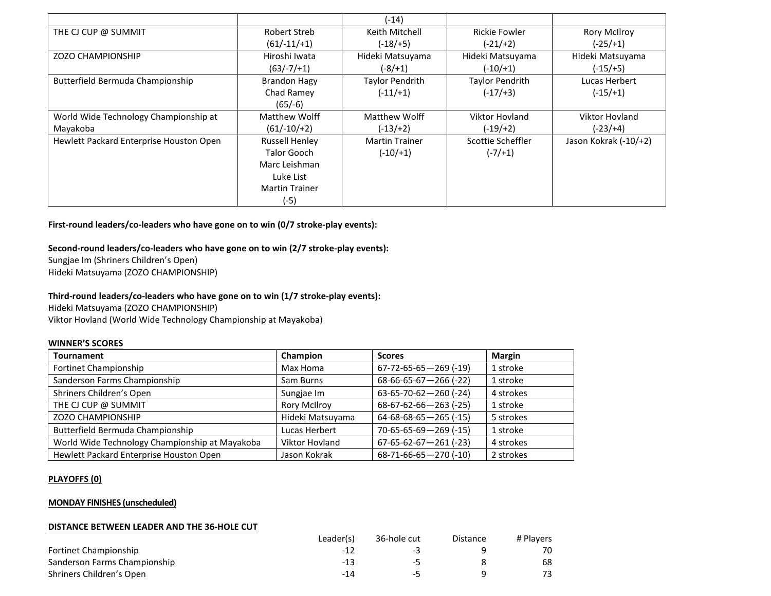|                                         |                       | (-14)                  |                        |                       |
|-----------------------------------------|-----------------------|------------------------|------------------------|-----------------------|
| THE CJ CUP @ SUMMIT                     | Robert Streb          | Keith Mitchell         | <b>Rickie Fowler</b>   | <b>Rory McIlroy</b>   |
|                                         | $(61/-11/+1)$         | (-18/+5)               | $(-21/+2)$             | (-25/+1)              |
| <b>ZOZO CHAMPIONSHIP</b>                | Hiroshi Iwata         | Hideki Matsuyama       | Hideki Matsuyama       | Hideki Matsuyama      |
|                                         | $(63/-7/+1)$          | (-8/+1)                | $(-10/+1)$             | $(-15/+5)$            |
| Butterfield Bermuda Championship        | <b>Brandon Hagy</b>   | <b>Taylor Pendrith</b> | <b>Taylor Pendrith</b> | Lucas Herbert         |
|                                         | Chad Ramey            | $(-11/+1)$             | $(-17/+3)$             | $(-15/1)$             |
|                                         | $(65/-6)$             |                        |                        |                       |
| World Wide Technology Championship at   | Matthew Wolff         | <b>Matthew Wolff</b>   | <b>Viktor Hovland</b>  | <b>Viktor Hovland</b> |
| Mayakoba                                | $(61/-10/+2)$         | $(-13/+2)$             | $(-19/+2)$             | (-23/+4)              |
| Hewlett Packard Enterprise Houston Open | <b>Russell Henley</b> | <b>Martin Trainer</b>  | Scottie Scheffler      | Jason Kokrak (-10/+2) |
|                                         | <b>Talor Gooch</b>    | $(-10/+1)$             | $(-7/1)$               |                       |
|                                         | Marc Leishman         |                        |                        |                       |
|                                         | Luke List             |                        |                        |                       |
|                                         | <b>Martin Trainer</b> |                        |                        |                       |
|                                         | (-5)                  |                        |                        |                       |

**First-round leaders/co-leaders who have gone on to win (0/7 stroke-play events):**

## **Second-round leaders/co-leaders who have gone on to win (2/7 stroke-play events):**

Sungjae Im (Shriners Children's Open) Hideki Matsuyama (ZOZO CHAMPIONSHIP)

## **Third-round leaders/co-leaders who have gone on to win (1/7 stroke-play events):**

Hideki Matsuyama (ZOZO CHAMPIONSHIP)

Viktor Hovland (World Wide Technology Championship at Mayakoba)

### **WINNER'S SCORES**

| <b>Tournament</b>                              | Champion            | <b>Scores</b>                   | Margin    |
|------------------------------------------------|---------------------|---------------------------------|-----------|
| Fortinet Championship                          | Max Homa            | $67 - 72 - 65 - 65 - 269$ (-19) | 1 stroke  |
| Sanderson Farms Championship                   | Sam Burns           | 68-66-65-67-266 (-22)           | 1 stroke  |
| Shriners Children's Open                       | Sungjae Im          | 63-65-70-62-260 (-24)           | 4 strokes |
| THE CJ CUP @ SUMMIT                            | <b>Rory McIlroy</b> | $68-67-62-66-263$ (-25)         | 1 stroke  |
| <b>ZOZO CHAMPIONSHIP</b>                       | Hideki Matsuyama    | $64-68-68-65-265$ (-15)         | 5 strokes |
| Butterfield Bermuda Championship               | Lucas Herbert       | 70-65-65-69-269 (-15)           | 1 stroke  |
| World Wide Technology Championship at Mayakoba | Viktor Hovland      | $67-65-62-67-261$ (-23)         | 4 strokes |
| Hewlett Packard Enterprise Houston Open        | Jason Kokrak        | 68-71-66-65-270 (-10)           | 2 strokes |

### **PLAYOFFS (0)**

### **MONDAY FINISHES (unscheduled)**

### **DISTANCE BETWEEN LEADER AND THE 36-HOLE CUT**

|                              | Leader(s) | 36-hole cut | Distance | # Plavers |
|------------------------------|-----------|-------------|----------|-----------|
| <b>Fortinet Championship</b> | -15       | - -         |          |           |
| Sanderson Farms Championship | -13       | -5          |          | 68        |
| Shriners Children's Open     | -14       | -5          |          |           |